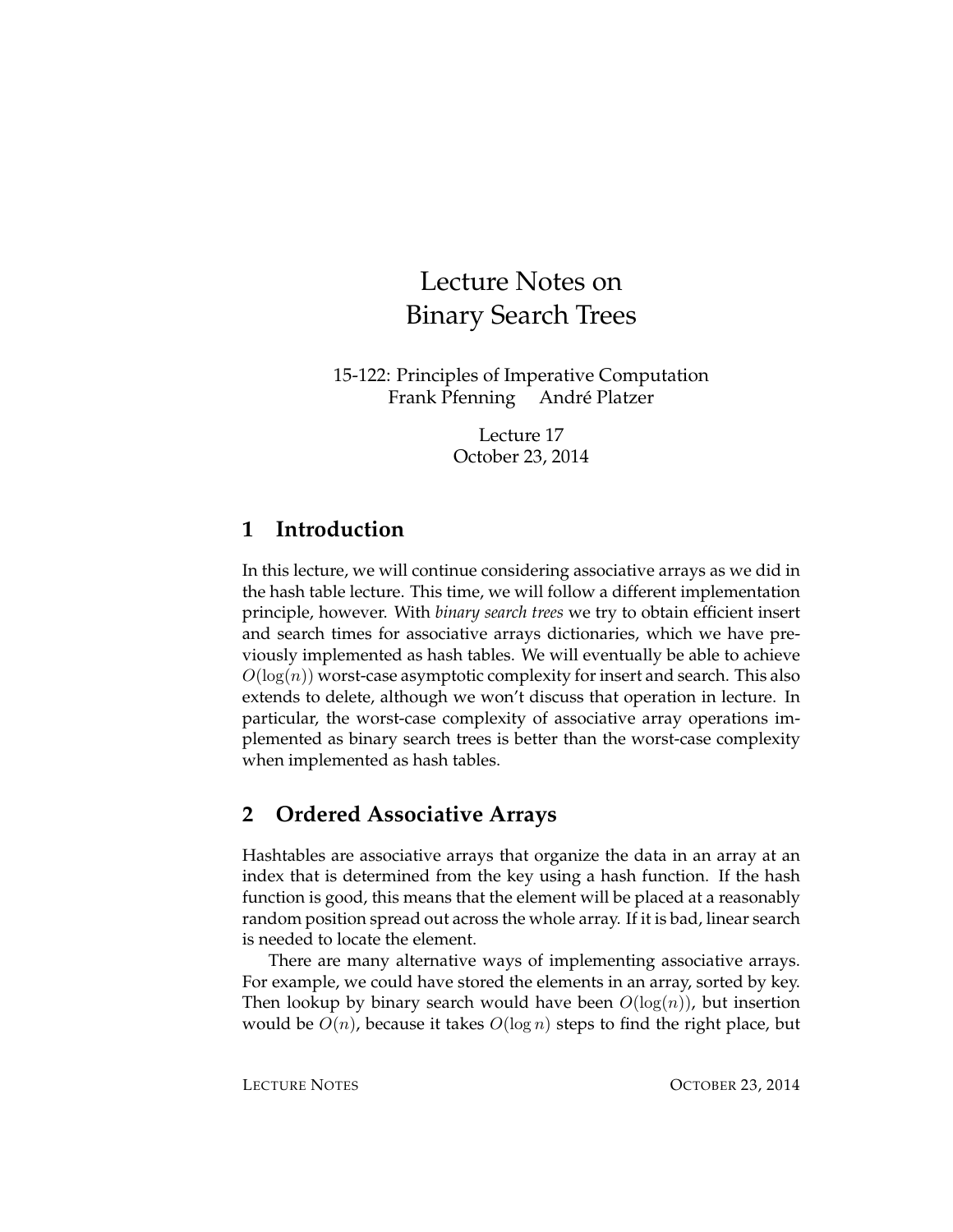# Lecture Notes on Binary Search Trees

15-122: Principles of Imperative Computation Frank Pfenning Andre Platzer ´

> Lecture 17 October 23, 2014

## **1 Introduction**

In this lecture, we will continue considering associative arrays as we did in the hash table lecture. This time, we will follow a different implementation principle, however. With *binary search trees* we try to obtain efficient insert and search times for associative arrays dictionaries, which we have previously implemented as hash tables. We will eventually be able to achieve  $O(\log(n))$  worst-case asymptotic complexity for insert and search. This also extends to delete, although we won't discuss that operation in lecture. In particular, the worst-case complexity of associative array operations implemented as binary search trees is better than the worst-case complexity when implemented as hash tables.

## **2 Ordered Associative Arrays**

Hashtables are associative arrays that organize the data in an array at an index that is determined from the key using a hash function. If the hash function is good, this means that the element will be placed at a reasonably random position spread out across the whole array. If it is bad, linear search is needed to locate the element.

There are many alternative ways of implementing associative arrays. For example, we could have stored the elements in an array, sorted by key. Then lookup by binary search would have been  $O(log(n))$ , but insertion would be  $O(n)$ , because it takes  $O(\log n)$  steps to find the right place, but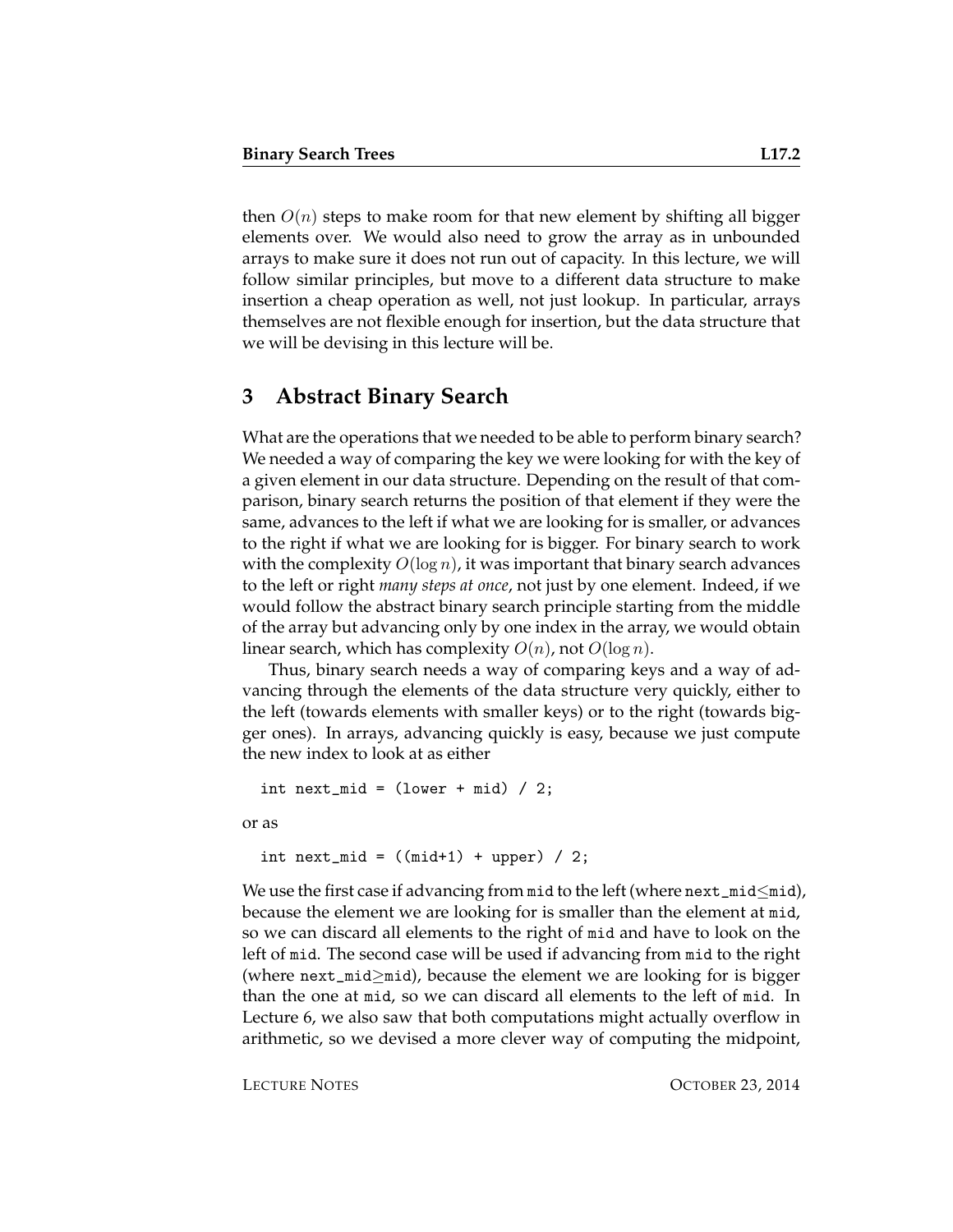then  $O(n)$  steps to make room for that new element by shifting all bigger elements over. We would also need to grow the array as in unbounded arrays to make sure it does not run out of capacity. In this lecture, we will follow similar principles, but move to a different data structure to make insertion a cheap operation as well, not just lookup. In particular, arrays themselves are not flexible enough for insertion, but the data structure that we will be devising in this lecture will be.

#### **3 Abstract Binary Search**

What are the operations that we needed to be able to perform binary search? We needed a way of comparing the key we were looking for with the key of a given element in our data structure. Depending on the result of that comparison, binary search returns the position of that element if they were the same, advances to the left if what we are looking for is smaller, or advances to the right if what we are looking for is bigger. For binary search to work with the complexity  $O(\log n)$ , it was important that binary search advances to the left or right *many steps at once*, not just by one element. Indeed, if we would follow the abstract binary search principle starting from the middle of the array but advancing only by one index in the array, we would obtain linear search, which has complexity  $O(n)$ , not  $O(\log n)$ .

Thus, binary search needs a way of comparing keys and a way of advancing through the elements of the data structure very quickly, either to the left (towards elements with smaller keys) or to the right (towards bigger ones). In arrays, advancing quickly is easy, because we just compute the new index to look at as either

```
int next_mid = (lower + mid) / 2;
```
or as

```
int next_mid = ((mid+1) + upper) / 2;
```
We use the first case if advancing from mid to the left (where  $next\_mid\leq mid$ ), because the element we are looking for is smaller than the element at mid, so we can discard all elements to the right of mid and have to look on the left of mid. The second case will be used if advancing from mid to the right (where next\_mid≥mid), because the element we are looking for is bigger than the one at mid, so we can discard all elements to the left of mid. In Lecture 6, we also saw that both computations might actually overflow in arithmetic, so we devised a more clever way of computing the midpoint,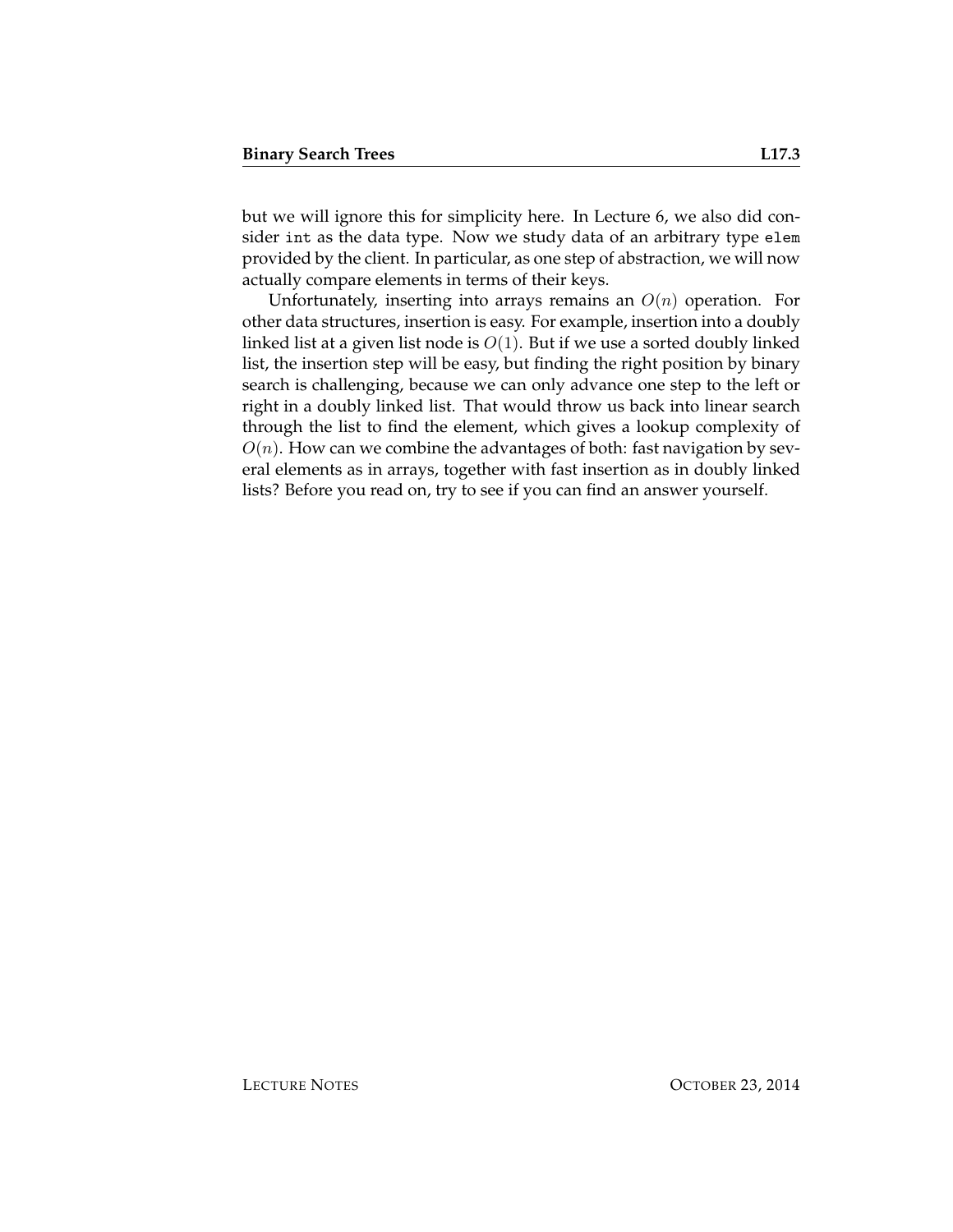but we will ignore this for simplicity here. In Lecture 6, we also did consider int as the data type. Now we study data of an arbitrary type elem provided by the client. In particular, as one step of abstraction, we will now actually compare elements in terms of their keys.

Unfortunately, inserting into arrays remains an  $O(n)$  operation. For other data structures, insertion is easy. For example, insertion into a doubly linked list at a given list node is  $O(1)$ . But if we use a sorted doubly linked list, the insertion step will be easy, but finding the right position by binary search is challenging, because we can only advance one step to the left or right in a doubly linked list. That would throw us back into linear search through the list to find the element, which gives a lookup complexity of  $O(n)$ . How can we combine the advantages of both: fast navigation by several elements as in arrays, together with fast insertion as in doubly linked lists? Before you read on, try to see if you can find an answer yourself.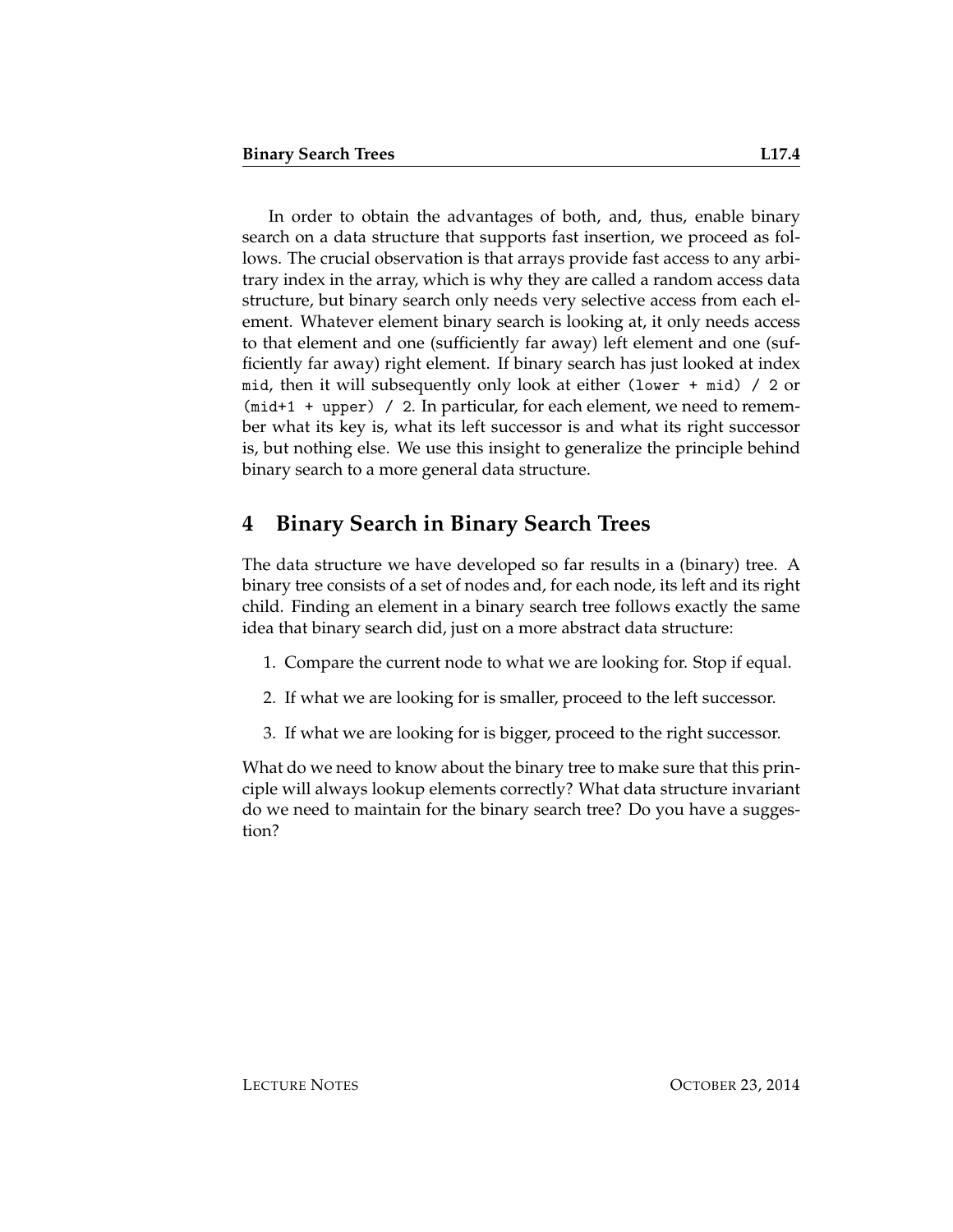In order to obtain the advantages of both, and, thus, enable binary search on a data structure that supports fast insertion, we proceed as follows. The crucial observation is that arrays provide fast access to any arbitrary index in the array, which is why they are called a random access data structure, but binary search only needs very selective access from each element. Whatever element binary search is looking at, it only needs access to that element and one (sufficiently far away) left element and one (sufficiently far away) right element. If binary search has just looked at index mid, then it will subsequently only look at either (lower + mid) / 2 or (mid+1 + upper) / 2. In particular, for each element, we need to remember what its key is, what its left successor is and what its right successor is, but nothing else. We use this insight to generalize the principle behind binary search to a more general data structure.

## **4 Binary Search in Binary Search Trees**

The data structure we have developed so far results in a (binary) tree. A binary tree consists of a set of nodes and, for each node, its left and its right child. Finding an element in a binary search tree follows exactly the same idea that binary search did, just on a more abstract data structure:

- 1. Compare the current node to what we are looking for. Stop if equal.
- 2. If what we are looking for is smaller, proceed to the left successor.
- 3. If what we are looking for is bigger, proceed to the right successor.

What do we need to know about the binary tree to make sure that this principle will always lookup elements correctly? What data structure invariant do we need to maintain for the binary search tree? Do you have a suggestion?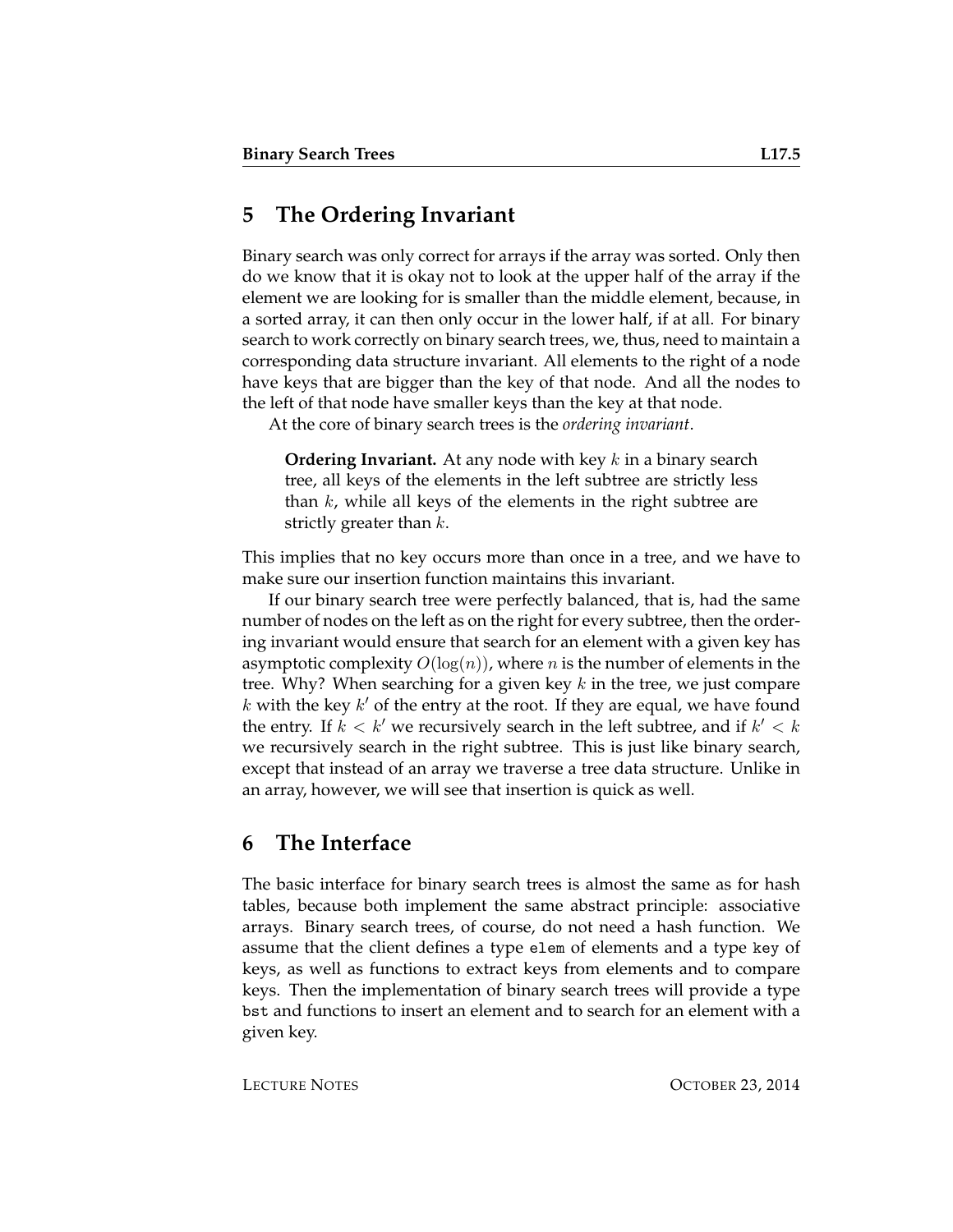#### **5 The Ordering Invariant**

Binary search was only correct for arrays if the array was sorted. Only then do we know that it is okay not to look at the upper half of the array if the element we are looking for is smaller than the middle element, because, in a sorted array, it can then only occur in the lower half, if at all. For binary search to work correctly on binary search trees, we, thus, need to maintain a corresponding data structure invariant. All elements to the right of a node have keys that are bigger than the key of that node. And all the nodes to the left of that node have smaller keys than the key at that node.

At the core of binary search trees is the *ordering invariant*.

**Ordering Invariant.** At any node with key k in a binary search tree, all keys of the elements in the left subtree are strictly less than  $k$ , while all keys of the elements in the right subtree are strictly greater than  $k$ .

This implies that no key occurs more than once in a tree, and we have to make sure our insertion function maintains this invariant.

If our binary search tree were perfectly balanced, that is, had the same number of nodes on the left as on the right for every subtree, then the ordering invariant would ensure that search for an element with a given key has asymptotic complexity  $O(log(n))$ , where n is the number of elements in the tree. Why? When searching for a given key  $k$  in the tree, we just compare  $k$  with the key  $k'$  of the entry at the root. If they are equal, we have found the entry. If  $k < k'$  we recursively search in the left subtree, and if  $k' < k$ we recursively search in the right subtree. This is just like binary search, except that instead of an array we traverse a tree data structure. Unlike in an array, however, we will see that insertion is quick as well.

#### **6 The Interface**

The basic interface for binary search trees is almost the same as for hash tables, because both implement the same abstract principle: associative arrays. Binary search trees, of course, do not need a hash function. We assume that the client defines a type elem of elements and a type key of keys, as well as functions to extract keys from elements and to compare keys. Then the implementation of binary search trees will provide a type bst and functions to insert an element and to search for an element with a given key.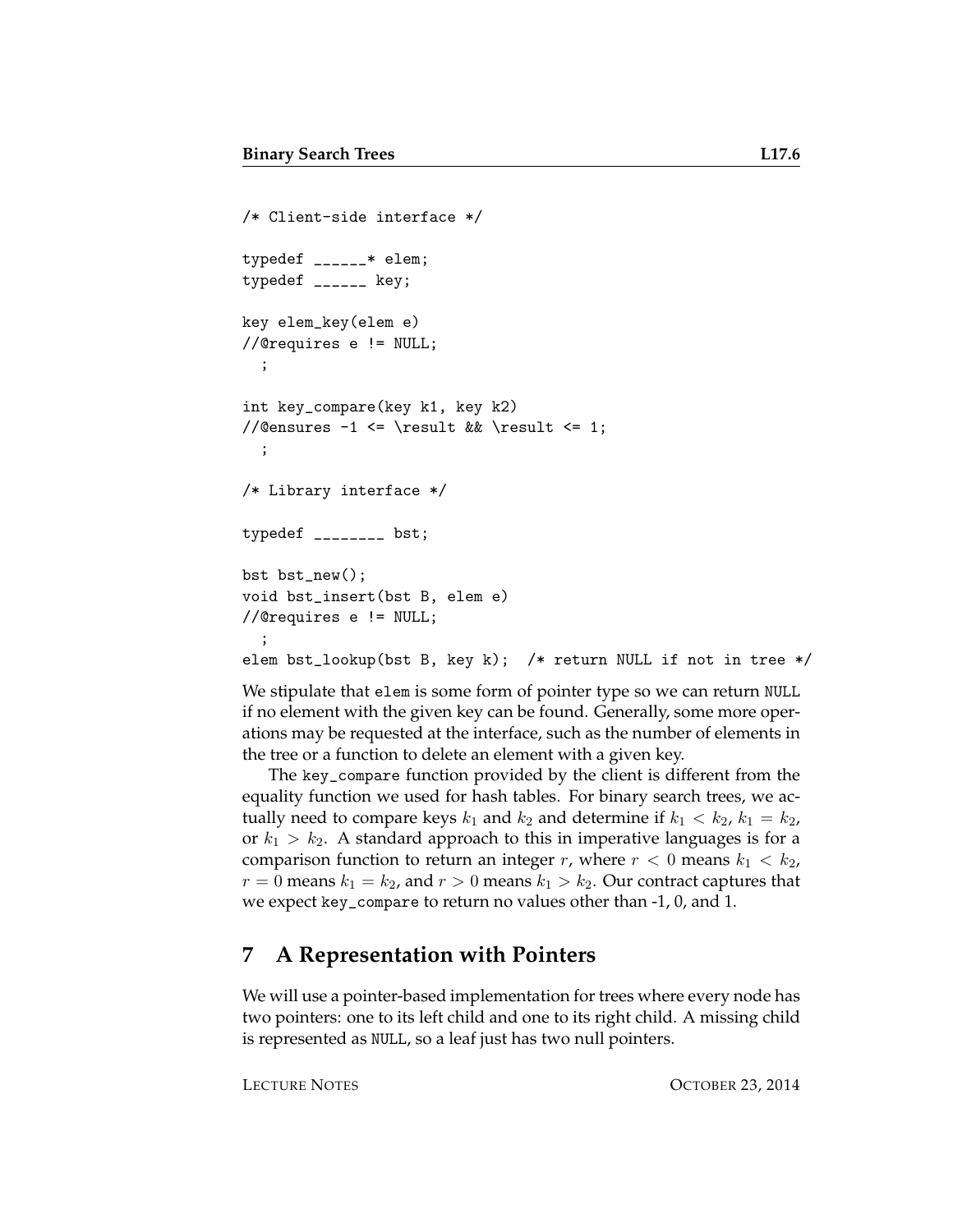```
/* Client-side interface */
typedef ______* elem;
typedef ______ key;
key elem_key(elem e)
//@requires e != NULL;
  ;
int key_compare(key k1, key k2)
//@ensures -1 <= \result && \result <= 1;
  ;
/* Library interface */
typedef ________ bst;
bst bst_new();
void bst_insert(bst B, elem e)
//@requires e != NULL;
  ;
elem bst_lookup(bst B, key k); /* return NULL if not in tree */
```
We stipulate that elem is some form of pointer type so we can return NULL if no element with the given key can be found. Generally, some more operations may be requested at the interface, such as the number of elements in the tree or a function to delete an element with a given key.

The key\_compare function provided by the client is different from the equality function we used for hash tables. For binary search trees, we actually need to compare keys  $k_1$  and  $k_2$  and determine if  $k_1 < k_2$ ,  $k_1 = k_2$ , or  $k_1 > k_2$ . A standard approach to this in imperative languages is for a comparison function to return an integer r, where  $r < 0$  means  $k_1 < k_2$ ,  $r = 0$  means  $k_1 = k_2$ , and  $r > 0$  means  $k_1 > k_2$ . Our contract captures that we expect key\_compare to return no values other than -1, 0, and 1.

#### **7 A Representation with Pointers**

We will use a pointer-based implementation for trees where every node has two pointers: one to its left child and one to its right child. A missing child is represented as NULL, so a leaf just has two null pointers.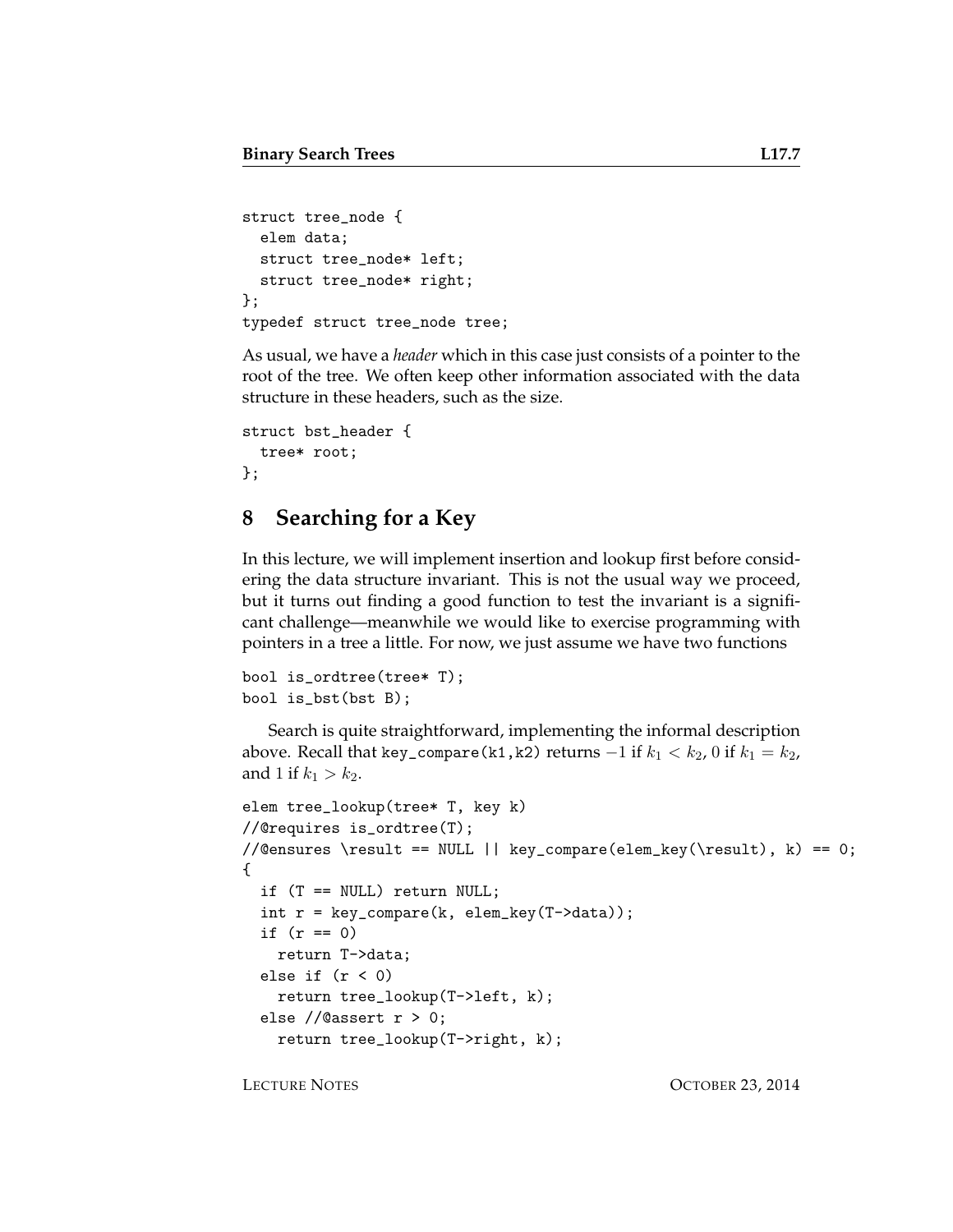```
struct tree_node {
  elem data;
 struct tree_node* left;
 struct tree_node* right;
};
typedef struct tree_node tree;
```
As usual, we have a *header* which in this case just consists of a pointer to the root of the tree. We often keep other information associated with the data structure in these headers, such as the size.

```
struct bst_header {
  tree* root;
};
```
## **8 Searching for a Key**

In this lecture, we will implement insertion and lookup first before considering the data structure invariant. This is not the usual way we proceed, but it turns out finding a good function to test the invariant is a significant challenge—meanwhile we would like to exercise programming with pointers in a tree a little. For now, we just assume we have two functions

```
bool is_ordtree(tree* T);
bool is_bst(bst B);
```
Search is quite straightforward, implementing the informal description above. Recall that key\_compare(k1,k2) returns  $-1$  if  $k_1 < k_2$ , 0 if  $k_1 = k_2$ , and 1 if  $k_1 > k_2$ .

```
elem tree_lookup(tree* T, key k)
//@requires is_ordtree(T);
//@ensures \result == NULL || \text{key\_compare}(\text{key}(\result), k) == 0;{
  if (T == NULL) return NULL;
 int r = key\_compare(k, elem\_key(T->data));if (r == 0)return T->data;
  else if (r < 0)
    return tree_lookup(T->left, k);
  else //@assert r > 0;
    return tree_lookup(T->right, k);
```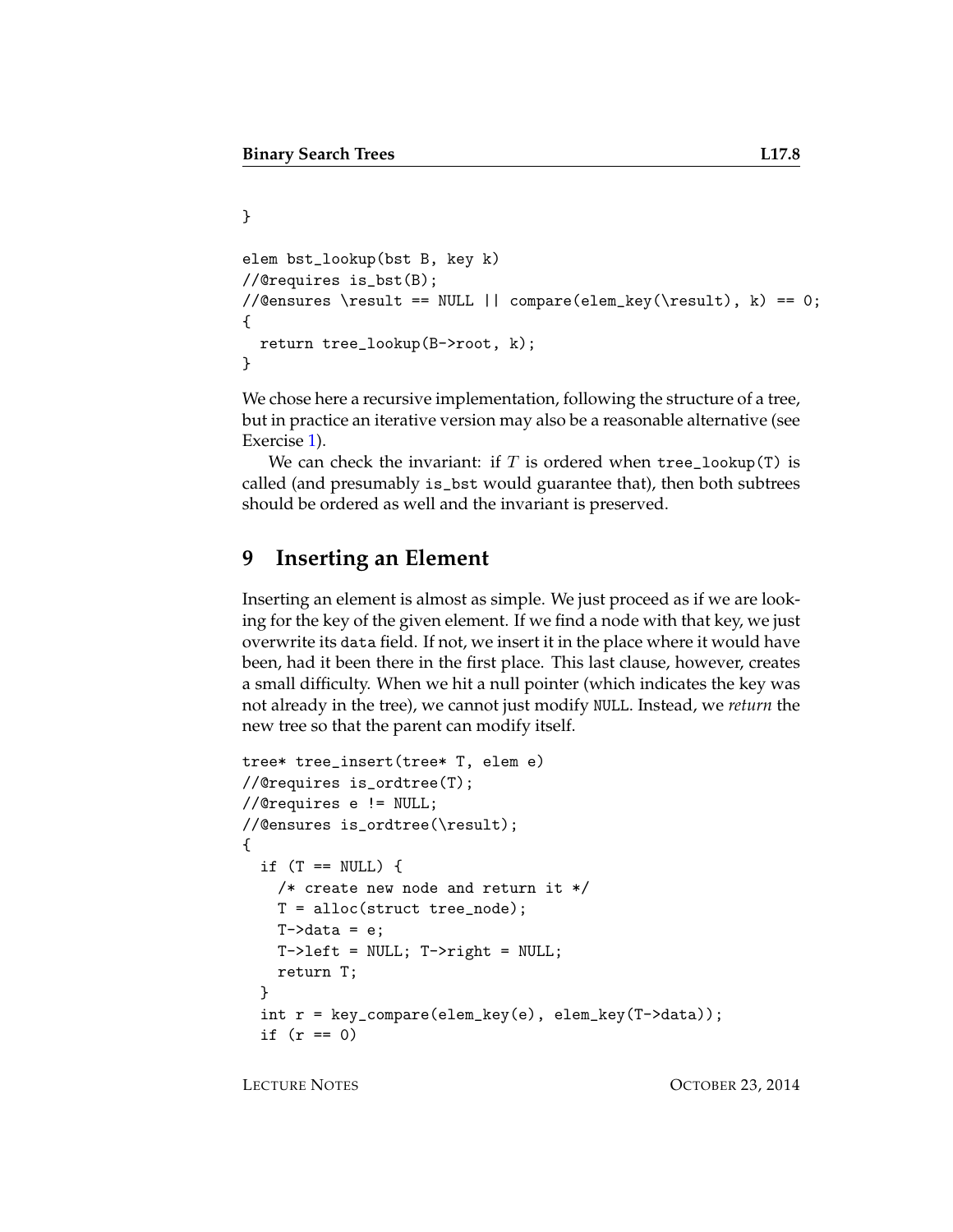```
}
elem bst_lookup(bst B, key k)
//@requires is_bst(B);
//@ensures \result == NULL || compare(elem_key(\result), k) == 0;
{
  return tree_lookup(B->root, k);
}
```
We chose here a recursive implementation, following the structure of a tree, but in practice an iterative version may also be a reasonable alternative (see Exercise [1\)](#page-13-0).

We can check the invariant: if  $T$  is ordered when tree\_lookup(T) is called (and presumably is\_bst would guarantee that), then both subtrees should be ordered as well and the invariant is preserved.

### **9 Inserting an Element**

Inserting an element is almost as simple. We just proceed as if we are looking for the key of the given element. If we find a node with that key, we just overwrite its data field. If not, we insert it in the place where it would have been, had it been there in the first place. This last clause, however, creates a small difficulty. When we hit a null pointer (which indicates the key was not already in the tree), we cannot just modify NULL. Instead, we *return* the new tree so that the parent can modify itself.

```
tree* tree_insert(tree* T, elem e)
//@requires is_ordtree(T);
//@requires e != NULL;
//@ensures is_ordtree(\result);
{
  if (T == NULL) {
    /* create new node and return it */
   T = alloc(struct tree_node);
   T-\lambdadata = e;
   T->left = NULL; T->right = NULL;return T;
  }
  int r = key\_compare(elem\_key(e), elem\_key(T->data));if (r == 0)
```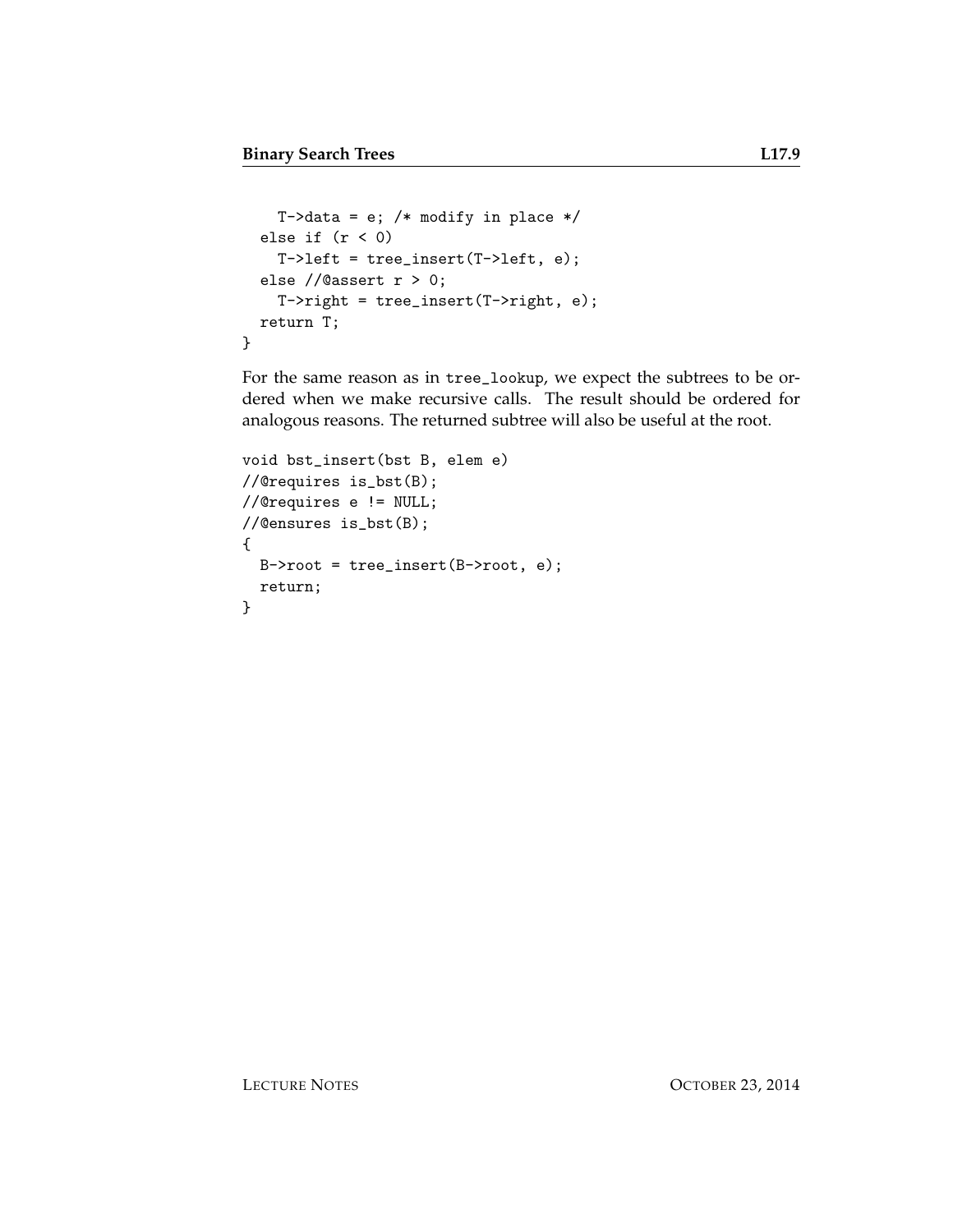```
T->data = e; /* modify in place */else if (r < 0)T-\lambdaleft = tree_insert(T-\lambda)eft, e);
  else //@assert r > 0;
    T->right = tree_insert(T->right, e);
  return T;
}
```
For the same reason as in tree\_lookup, we expect the subtrees to be ordered when we make recursive calls. The result should be ordered for analogous reasons. The returned subtree will also be useful at the root.

```
void bst_insert(bst B, elem e)
//@requires is_bst(B);
//@requires e != NULL;
//@ensures is_bst(B);
{
  B\rightarrow root = tree_insect(B\rightarrow root, e);return;
}
```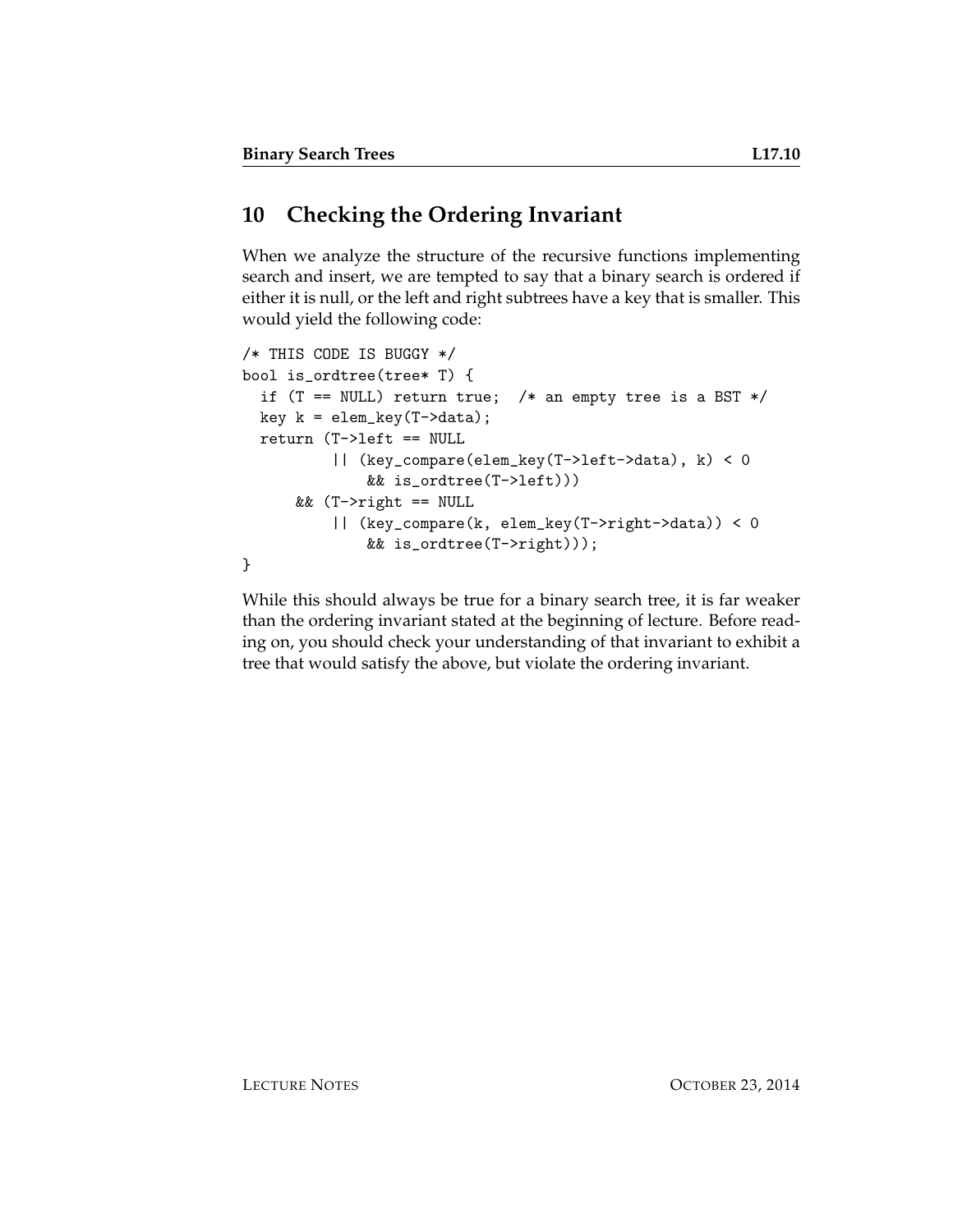## **10 Checking the Ordering Invariant**

When we analyze the structure of the recursive functions implementing search and insert, we are tempted to say that a binary search is ordered if either it is null, or the left and right subtrees have a key that is smaller. This would yield the following code:

```
/* THIS CODE IS BUGGY */
bool is_ordtree(tree* T) {
  if (T == NULL) return true; /* an empty tree is a BST */
  key k = elem\_key(T-\lambda data);return (T->left == NULL
          || (key_compare(elem_key(T->left->data), k) < 0
              && is_ordtree(T->left)))
      && (T->right == NULL
          || (key_compare(k, elem_key(T->right->data)) < 0
              && is_ordtree(T->right)));
}
```
While this should always be true for a binary search tree, it is far weaker than the ordering invariant stated at the beginning of lecture. Before reading on, you should check your understanding of that invariant to exhibit a tree that would satisfy the above, but violate the ordering invariant.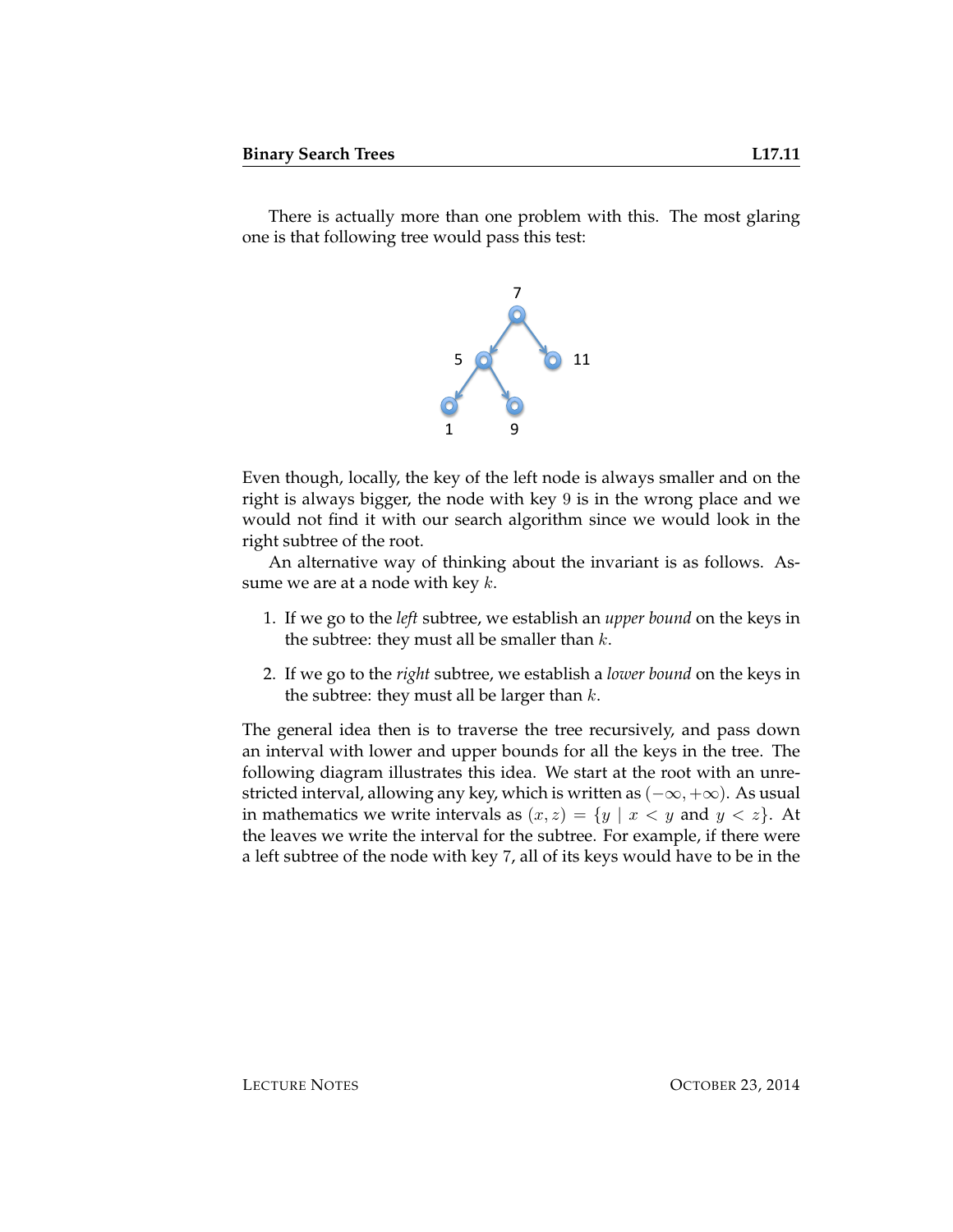There is actually more than one problem with this. The most glaring one is that following tree would pass this test:



Even though, locally, the key of the left node is always smaller and on the right is always bigger, the node with key 9 is in the wrong place and we would not find it with our search algorithm since we would look in the right subtree of the root.

An alternative way of thinking about the invariant is as follows. Assume we are at a node with key  $k$ .

- 1. If we go to the *left* subtree, we establish an *upper bound* on the keys in the subtree: they must all be smaller than  $k$ .
- 2. If we go to the *right* subtree, we establish a *lower bound* on the keys in the subtree: they must all be larger than  $k$ .

The general idea then is to traverse the tree recursively, and pass down an interval with lower and upper bounds for all the keys in the tree. The following diagram illustrates this idea. We start at the root with an unrestricted interval, allowing any key, which is written as  $(-\infty, +\infty)$ . As usual in mathematics we write intervals as  $(x, z) = \{y \mid x < y \text{ and } y < z\}.$  At the leaves we write the interval for the subtree. For example, if there were a left subtree of the node with key 7, all of its keys would have to be in the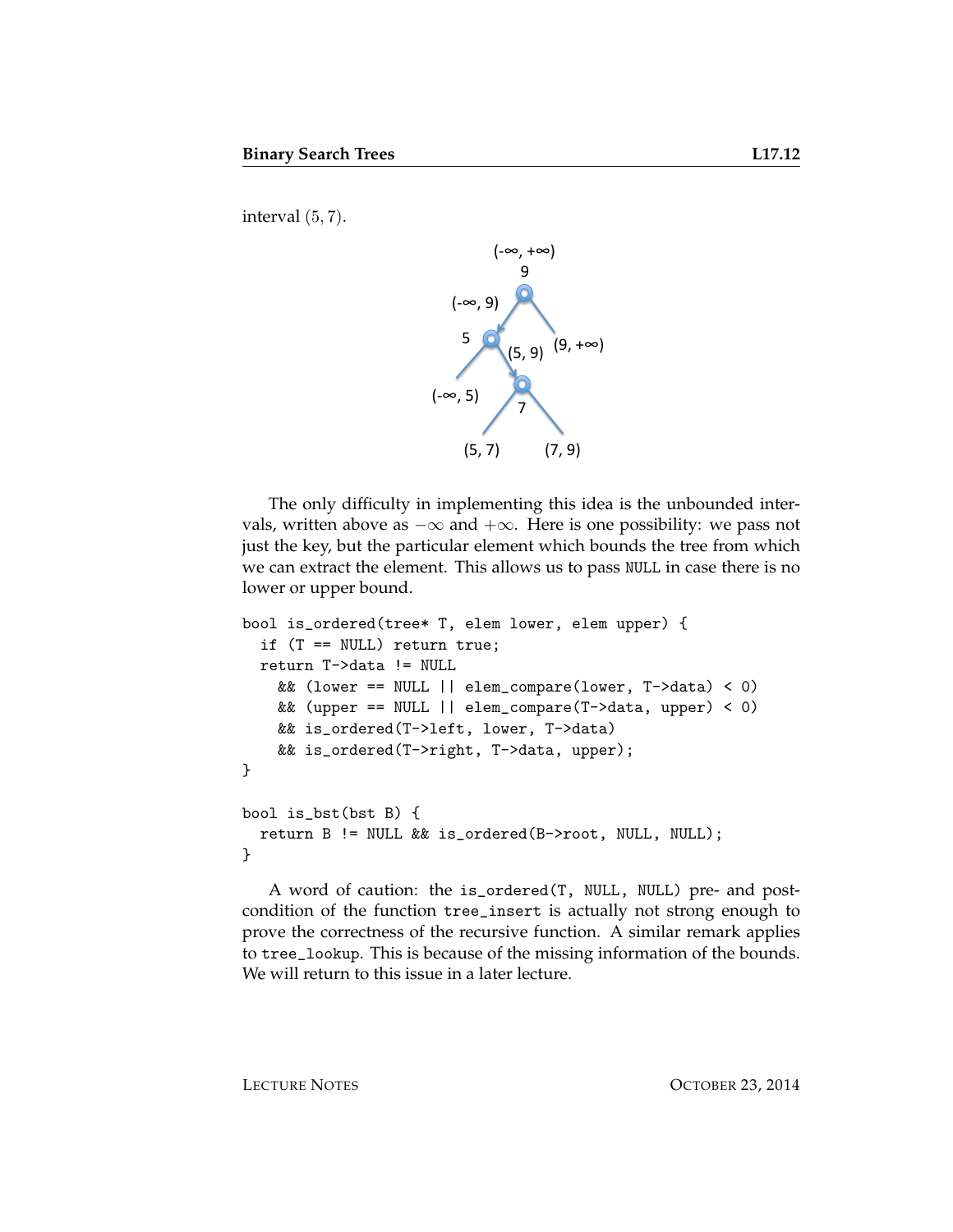interval (5, 7).



The only difficulty in implementing this idea is the unbounded intervals, written above as  $-\infty$  and  $+\infty$ . Here is one possibility: we pass not just the key, but the particular element which bounds the tree from which we can extract the element. This allows us to pass NULL in case there is no lower or upper bound.

```
bool is_ordered(tree* T, elem lower, elem upper) {
  if (T == NULL) return true;
  return T->data != NULL
   && (lower == NULL || elem_compare(lower, T->data) < 0)
   && (upper == NULL || elem_compare(T->data, upper) < 0)
   && is_ordered(T->left, lower, T->data)
   && is_ordered(T->right, T->data, upper);
}
bool is_bst(bst B) {
 return B != NULL && is_ordered(B->root, NULL, NULL);
}
```
A word of caution: the is\_ordered(T, NULL, NULL) pre- and postcondition of the function tree\_insert is actually not strong enough to prove the correctness of the recursive function. A similar remark applies to tree\_lookup. This is because of the missing information of the bounds. We will return to this issue in a later lecture.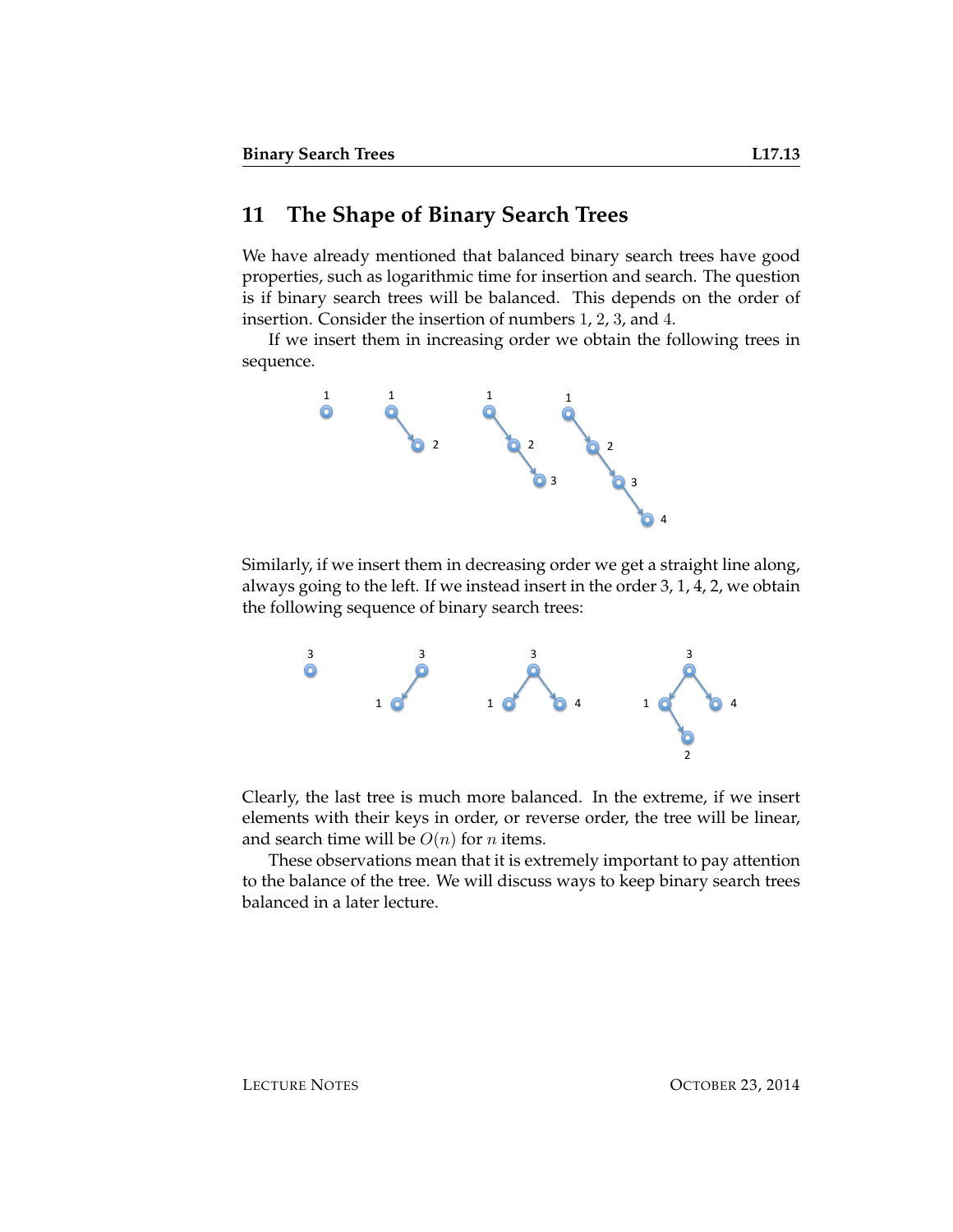#### **11 The Shape of Binary Search Trees**

We have already mentioned that balanced binary search trees have good properties, such as logarithmic time for insertion and search. The question is if binary search trees will be balanced. This depends on the order of insertion. Consider the insertion of numbers 1, 2, 3, and 4.

If we insert them in increasing order we obtain the following trees in sequence.



Similarly, if we insert them in decreasing order we get a straight line along, always going to the left. If we instead insert in the order 3, 1, 4, 2, we obtain the following sequence of binary search trees:



Clearly, the last tree is much more balanced. In the extreme, if we insert elements with their keys in order, or reverse order, the tree will be linear, and search time will be  $O(n)$  for *n* items.

These observations mean that it is extremely important to pay attention to the balance of the tree. We will discuss ways to keep binary search trees balanced in a later lecture.